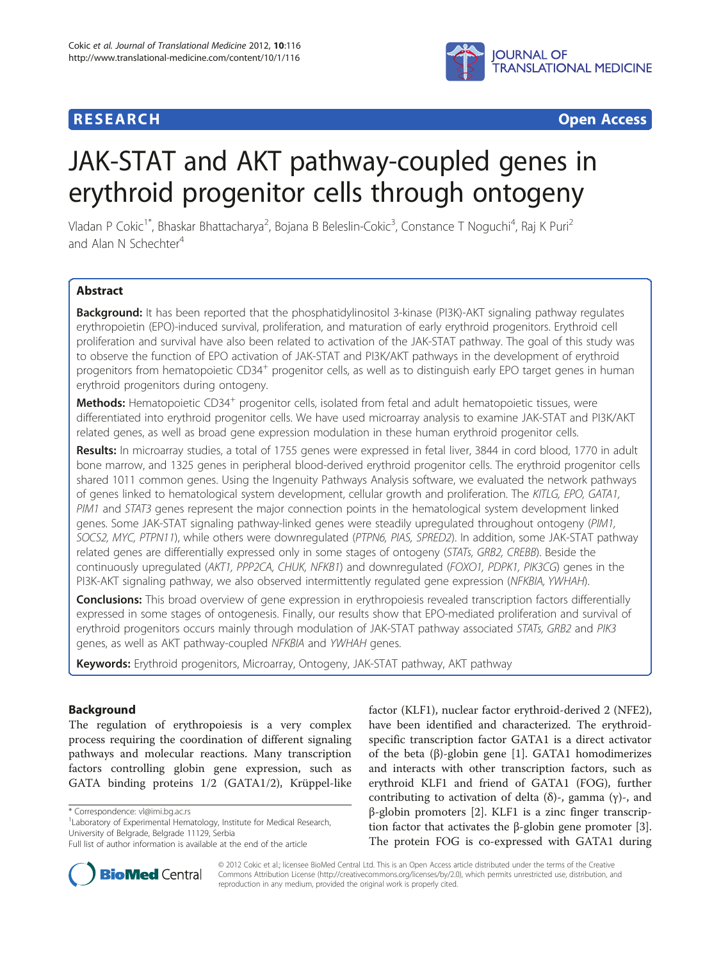# **RESEARCH CHEAR CHEAR CHEAR CHEAR CHEAR CHEAR CHEAR CHEAR CHEAR CHEAR CHEAR CHEAR CHEAR CHEAR CHEAR CHEAR CHEAR**



# JAK-STAT and AKT pathway-coupled genes in erythroid progenitor cells through ontogeny

Vladan P Cokic<sup>1\*</sup>, Bhaskar Bhattacharya<sup>2</sup>, Bojana B Beleslin-Cokic<sup>3</sup>, Constance T Noguchi<sup>4</sup>, Raj K Puri<sup>2</sup> and Alan N Schechter<sup>4</sup>

# Abstract

**Background:** It has been reported that the phosphatidylinositol 3-kinase (PI3K)-AKT signaling pathway regulates erythropoietin (EPO)-induced survival, proliferation, and maturation of early erythroid progenitors. Erythroid cell proliferation and survival have also been related to activation of the JAK-STAT pathway. The goal of this study was to observe the function of EPO activation of JAK-STAT and PI3K/AKT pathways in the development of erythroid progenitors from hematopoietic CD34<sup>+</sup> progenitor cells, as well as to distinguish early EPO target genes in human erythroid progenitors during ontogeny.

**Methods:** Hematopoietic CD34<sup>+</sup> progenitor cells, isolated from fetal and adult hematopoietic tissues, were differentiated into erythroid progenitor cells. We have used microarray analysis to examine JAK-STAT and PI3K/AKT related genes, as well as broad gene expression modulation in these human erythroid progenitor cells.

Results: In microarray studies, a total of 1755 genes were expressed in fetal liver, 3844 in cord blood, 1770 in adult bone marrow, and 1325 genes in peripheral blood-derived erythroid progenitor cells. The erythroid progenitor cells shared 1011 common genes. Using the Ingenuity Pathways Analysis software, we evaluated the network pathways of genes linked to hematological system development, cellular growth and proliferation. The KITLG, EPO, GATA1, PIM1 and STAT3 genes represent the major connection points in the hematological system development linked genes. Some JAK-STAT signaling pathway-linked genes were steadily upregulated throughout ontogeny (PIM1, SOCS2, MYC, PTPN11), while others were downregulated (PTPN6, PIAS, SPRED2). In addition, some JAK-STAT pathway related genes are differentially expressed only in some stages of ontogeny (STATs, GRB2, CREBB). Beside the continuously upregulated (AKT1, PPP2CA, CHUK, NFKB1) and downregulated (FOXO1, PDPK1, PIK3CG) genes in the PI3K-AKT signaling pathway, we also observed intermittently regulated gene expression (NFKBIA, YWHAH).

Conclusions: This broad overview of gene expression in erythropoiesis revealed transcription factors differentially expressed in some stages of ontogenesis. Finally, our results show that EPO-mediated proliferation and survival of erythroid progenitors occurs mainly through modulation of JAK-STAT pathway associated STATs, GRB2 and PIK3 genes, as well as AKT pathway-coupled NFKBIA and YWHAH genes.

Keywords: Erythroid progenitors, Microarray, Ontogeny, JAK-STAT pathway, AKT pathway

# Background

The regulation of erythropoiesis is a very complex process requiring the coordination of different signaling pathways and molecular reactions. Many transcription factors controlling globin gene expression, such as GATA binding proteins 1/2 (GATA1/2), Krüppel-like

factor (KLF1), nuclear factor erythroid-derived 2 (NFE2), have been identified and characterized. The erythroidspecific transcription factor GATA1 is a direct activator of the beta (β)-globin gene [[1\]](#page-9-0). GATA1 homodimerizes and interacts with other transcription factors, such as erythroid KLF1 and friend of GATA1 (FOG), further contributing to activation of delta (δ)-, gamma (γ)-, and β-globin promoters [\[2](#page-9-0)]. KLF1 is a zinc finger transcrip-tion factor that activates the β-globin gene promoter [\[3](#page-9-0)]. The protein FOG is co-expressed with GATA1 during



© 2012 Cokic et al.; licensee BioMed Central Ltd. This is an Open Access article distributed under the terms of the Creative Commons Attribution License [\(http://creativecommons.org/licenses/by/2.0\)](http://creativecommons.org/licenses/by/2.0), which permits unrestricted use, distribution, and reproduction in any medium, provided the original work is properly cited.

<sup>\*</sup> Correspondence: [vl@imi.bg.ac.rs](mailto:vl@imi.bg.ac.rs) <sup>1</sup>

<sup>&</sup>lt;sup>1</sup> Laboratory of Experimental Hematology, Institute for Medical Research, University of Belgrade, Belgrade 11129, Serbia

Full list of author information is available at the end of the article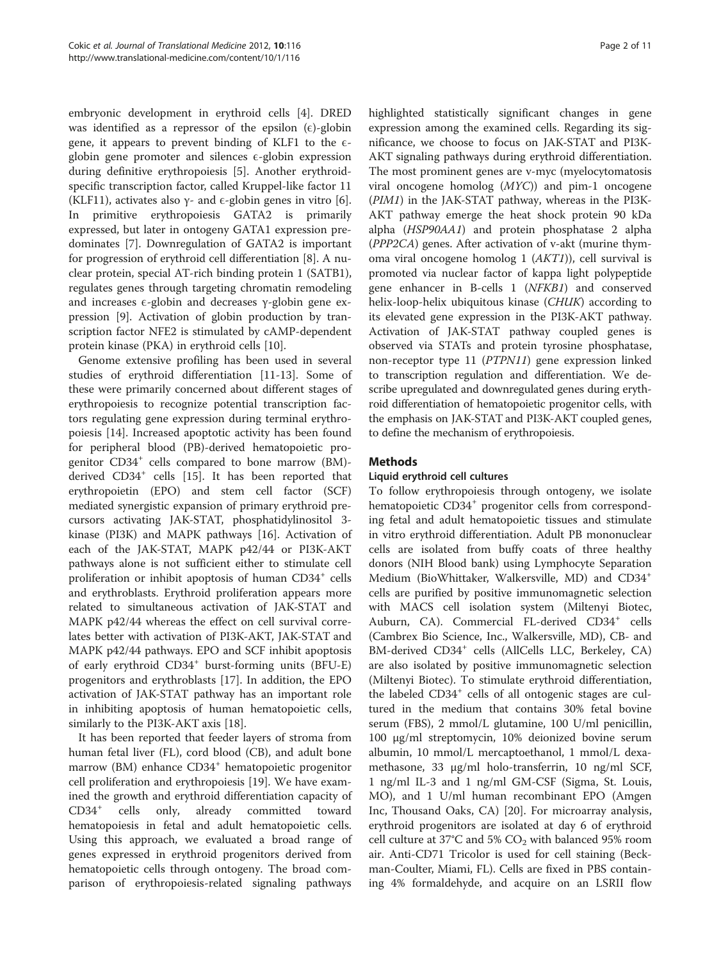embryonic development in erythroid cells [[4](#page-9-0)]. DRED was identified as a repressor of the epsilon  $(\epsilon)$ -globin gene, it appears to prevent binding of KLF1 to the  $\epsilon$ globin gene promoter and silences  $\epsilon$ -globin expression during definitive erythropoiesis [[5\]](#page-9-0). Another erythroidspecific transcription factor, called Kruppel-like factor 11 (KLF11), activates also  $\gamma$ - and  $\epsilon$ -globin genes in vitro [\[6](#page-10-0)]. In primitive erythropoiesis GATA2 is primarily expressed, but later in ontogeny GATA1 expression predominates [\[7](#page-10-0)]. Downregulation of GATA2 is important for progression of erythroid cell differentiation [\[8](#page-10-0)]. A nuclear protein, special AT-rich binding protein 1 (SATB1), regulates genes through targeting chromatin remodeling and increases  $\epsilon$ -globin and decreases  $\gamma$ -globin gene expression [[9\]](#page-10-0). Activation of globin production by transcription factor NFE2 is stimulated by cAMP-dependent protein kinase (PKA) in erythroid cells [\[10](#page-10-0)].

Genome extensive profiling has been used in several studies of erythroid differentiation [\[11-13](#page-10-0)]. Some of these were primarily concerned about different stages of erythropoiesis to recognize potential transcription factors regulating gene expression during terminal erythropoiesis [[14\]](#page-10-0). Increased apoptotic activity has been found for peripheral blood (PB)-derived hematopoietic progenitor CD34<sup>+</sup> cells compared to bone marrow (BM)-derived CD34<sup>+</sup> cells [\[15\]](#page-10-0). It has been reported that erythropoietin (EPO) and stem cell factor (SCF) mediated synergistic expansion of primary erythroid precursors activating JAK-STAT, phosphatidylinositol 3 kinase (PI3K) and MAPK pathways [\[16\]](#page-10-0). Activation of each of the JAK-STAT, MAPK p42/44 or PI3K-AKT pathways alone is not sufficient either to stimulate cell proliferation or inhibit apoptosis of human CD34<sup>+</sup> cells and erythroblasts. Erythroid proliferation appears more related to simultaneous activation of JAK-STAT and MAPK p42/44 whereas the effect on cell survival correlates better with activation of PI3K-AKT, JAK-STAT and MAPK p42/44 pathways. EPO and SCF inhibit apoptosis of early erythroid CD34<sup>+</sup> burst-forming units (BFU-E) progenitors and erythroblasts [\[17\]](#page-10-0). In addition, the EPO activation of JAK-STAT pathway has an important role in inhibiting apoptosis of human hematopoietic cells, similarly to the PI3K-AKT axis [[18](#page-10-0)].

It has been reported that feeder layers of stroma from human fetal liver (FL), cord blood (CB), and adult bone marrow (BM) enhance CD34<sup>+</sup> hematopoietic progenitor cell proliferation and erythropoiesis [\[19](#page-10-0)]. We have examined the growth and erythroid differentiation capacity of CD34<sup>+</sup> cells only, already committed toward hematopoiesis in fetal and adult hematopoietic cells. Using this approach, we evaluated a broad range of genes expressed in erythroid progenitors derived from hematopoietic cells through ontogeny. The broad comparison of erythropoiesis-related signaling pathways

highlighted statistically significant changes in gene expression among the examined cells. Regarding its significance, we choose to focus on JAK-STAT and PI3K-AKT signaling pathways during erythroid differentiation. The most prominent genes are v-myc (myelocytomatosis viral oncogene homolog (MYC)) and pim-1 oncogene (PIM1) in the JAK-STAT pathway, whereas in the PI3K-AKT pathway emerge the heat shock protein 90 kDa alpha (HSP90AA1) and protein phosphatase 2 alpha (PPP2CA) genes. After activation of v-akt (murine thymoma viral oncogene homolog 1 (AKT1)), cell survival is promoted via nuclear factor of kappa light polypeptide gene enhancer in B-cells 1 (NFKB1) and conserved helix-loop-helix ubiquitous kinase (CHUK) according to its elevated gene expression in the PI3K-AKT pathway. Activation of JAK-STAT pathway coupled genes is observed via STATs and protein tyrosine phosphatase, non-receptor type 11 (PTPN11) gene expression linked to transcription regulation and differentiation. We describe upregulated and downregulated genes during erythroid differentiation of hematopoietic progenitor cells, with the emphasis on JAK-STAT and PI3K-AKT coupled genes, to define the mechanism of erythropoiesis.

# **Methods**

### Liquid erythroid cell cultures

To follow erythropoiesis through ontogeny, we isolate hematopoietic CD34<sup>+</sup> progenitor cells from corresponding fetal and adult hematopoietic tissues and stimulate in vitro erythroid differentiation. Adult PB mononuclear cells are isolated from buffy coats of three healthy donors (NIH Blood bank) using Lymphocyte Separation Medium (BioWhittaker, Walkersville, MD) and CD34<sup>+</sup> cells are purified by positive immunomagnetic selection with MACS cell isolation system (Miltenyi Biotec, Auburn, CA). Commercial FL-derived CD34<sup>+</sup> cells (Cambrex Bio Science, Inc., Walkersville, MD), CB- and BM-derived CD34<sup>+</sup> cells (AllCells LLC, Berkeley, CA) are also isolated by positive immunomagnetic selection (Miltenyi Biotec). To stimulate erythroid differentiation, the labeled CD34<sup>+</sup> cells of all ontogenic stages are cultured in the medium that contains 30% fetal bovine serum (FBS), 2 mmol/L glutamine, 100 U/ml penicillin, 100 μg/ml streptomycin, 10% deionized bovine serum albumin, 10 mmol/L mercaptoethanol, 1 mmol/L dexamethasone, 33 μg/ml holo-transferrin, 10 ng/ml SCF, 1 ng/ml IL-3 and 1 ng/ml GM-CSF (Sigma, St. Louis, MO), and 1 U/ml human recombinant EPO (Amgen Inc, Thousand Oaks, CA) [[20](#page-10-0)]. For microarray analysis, erythroid progenitors are isolated at day 6 of erythroid cell culture at 37°C and 5%  $CO<sub>2</sub>$  with balanced 95% room air. Anti-CD71 Tricolor is used for cell staining (Beckman-Coulter, Miami, FL). Cells are fixed in PBS containing 4% formaldehyde, and acquire on an LSRII flow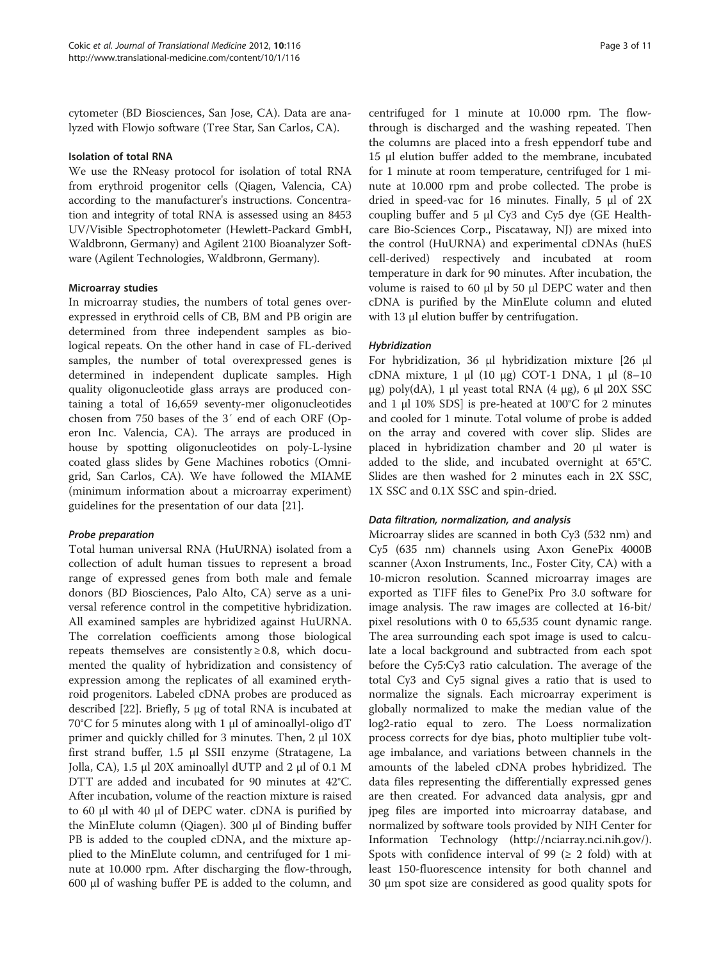cytometer (BD Biosciences, San Jose, CA). Data are analyzed with Flowjo software (Tree Star, San Carlos, CA).

#### Isolation of total RNA

We use the RNeasy protocol for isolation of total RNA from erythroid progenitor cells (Qiagen, Valencia, CA) according to the manufacturer's instructions. Concentration and integrity of total RNA is assessed using an 8453 UV/Visible Spectrophotometer (Hewlett-Packard GmbH, Waldbronn, Germany) and Agilent 2100 Bioanalyzer Software (Agilent Technologies, Waldbronn, Germany).

### Microarray studies

In microarray studies, the numbers of total genes overexpressed in erythroid cells of CB, BM and PB origin are determined from three independent samples as biological repeats. On the other hand in case of FL-derived samples, the number of total overexpressed genes is determined in independent duplicate samples. High quality oligonucleotide glass arrays are produced containing a total of 16,659 seventy-mer oligonucleotides chosen from 750 bases of the 3′ end of each ORF (Operon Inc. Valencia, CA). The arrays are produced in house by spotting oligonucleotides on poly-L-lysine coated glass slides by Gene Machines robotics (Omnigrid, San Carlos, CA). We have followed the MIAME (minimum information about a microarray experiment) guidelines for the presentation of our data [[21\]](#page-10-0).

### Probe preparation

Total human universal RNA (HuURNA) isolated from a collection of adult human tissues to represent a broad range of expressed genes from both male and female donors (BD Biosciences, Palo Alto, CA) serve as a universal reference control in the competitive hybridization. All examined samples are hybridized against HuURNA. The correlation coefficients among those biological repeats themselves are consistently  $\geq 0.8$ , which documented the quality of hybridization and consistency of expression among the replicates of all examined erythroid progenitors. Labeled cDNA probes are produced as described [[22\]](#page-10-0). Briefly, 5 μg of total RNA is incubated at 70°C for 5 minutes along with 1 μl of aminoallyl-oligo dT primer and quickly chilled for 3 minutes. Then, 2 μl 10X first strand buffer, 1.5 μl SSII enzyme (Stratagene, La Jolla, CA), 1.5 μl 20X aminoallyl dUTP and 2 μl of 0.1 M DTT are added and incubated for 90 minutes at 42°C. After incubation, volume of the reaction mixture is raised to 60 μl with 40 μl of DEPC water. cDNA is purified by the MinElute column (Qiagen). 300 μl of Binding buffer PB is added to the coupled cDNA, and the mixture applied to the MinElute column, and centrifuged for 1 minute at 10.000 rpm. After discharging the flow-through, 600 μl of washing buffer PE is added to the column, and

centrifuged for 1 minute at 10.000 rpm. The flowthrough is discharged and the washing repeated. Then the columns are placed into a fresh eppendorf tube and 15 μl elution buffer added to the membrane, incubated for 1 minute at room temperature, centrifuged for 1 minute at 10.000 rpm and probe collected. The probe is dried in speed-vac for 16 minutes. Finally, 5 μl of 2X coupling buffer and 5 μl Cy3 and Cy5 dye (GE Healthcare Bio-Sciences Corp., Piscataway, NJ) are mixed into the control (HuURNA) and experimental cDNAs (huES cell-derived) respectively and incubated at room temperature in dark for 90 minutes. After incubation, the volume is raised to 60 μl by 50 μl DEPC water and then cDNA is purified by the MinElute column and eluted with 13 μl elution buffer by centrifugation.

#### Hybridization

For hybridization, 36 μl hybridization mixture [26 μl cDNA mixture, 1 μl (10 μg) COT-1 DNA, 1 μl (8–10 μg) poly(dA), 1 μl yeast total RNA  $(4 \mu g)$ , 6 μl 20X SSC and 1 μl 10% SDS] is pre-heated at  $100^{\circ}$ C for 2 minutes and cooled for 1 minute. Total volume of probe is added on the array and covered with cover slip. Slides are placed in hybridization chamber and 20 μl water is added to the slide, and incubated overnight at 65°C. Slides are then washed for 2 minutes each in 2X SSC, 1X SSC and 0.1X SSC and spin-dried.

### Data filtration, normalization, and analysis

Microarray slides are scanned in both Cy3 (532 nm) and Cy5 (635 nm) channels using Axon GenePix 4000B scanner (Axon Instruments, Inc., Foster City, CA) with a 10-micron resolution. Scanned microarray images are exported as TIFF files to GenePix Pro 3.0 software for image analysis. The raw images are collected at 16-bit/ pixel resolutions with 0 to 65,535 count dynamic range. The area surrounding each spot image is used to calculate a local background and subtracted from each spot before the Cy5:Cy3 ratio calculation. The average of the total Cy3 and Cy5 signal gives a ratio that is used to normalize the signals. Each microarray experiment is globally normalized to make the median value of the log2-ratio equal to zero. The Loess normalization process corrects for dye bias, photo multiplier tube voltage imbalance, and variations between channels in the amounts of the labeled cDNA probes hybridized. The data files representing the differentially expressed genes are then created. For advanced data analysis, gpr and jpeg files are imported into microarray database, and normalized by software tools provided by NIH Center for Information Technology [\(http://nciarray.nci.nih.gov/](http://nciarray.nci.nih.gov/)). Spots with confidence interval of 99 ( $\geq$  2 fold) with at least 150-fluorescence intensity for both channel and 30 μm spot size are considered as good quality spots for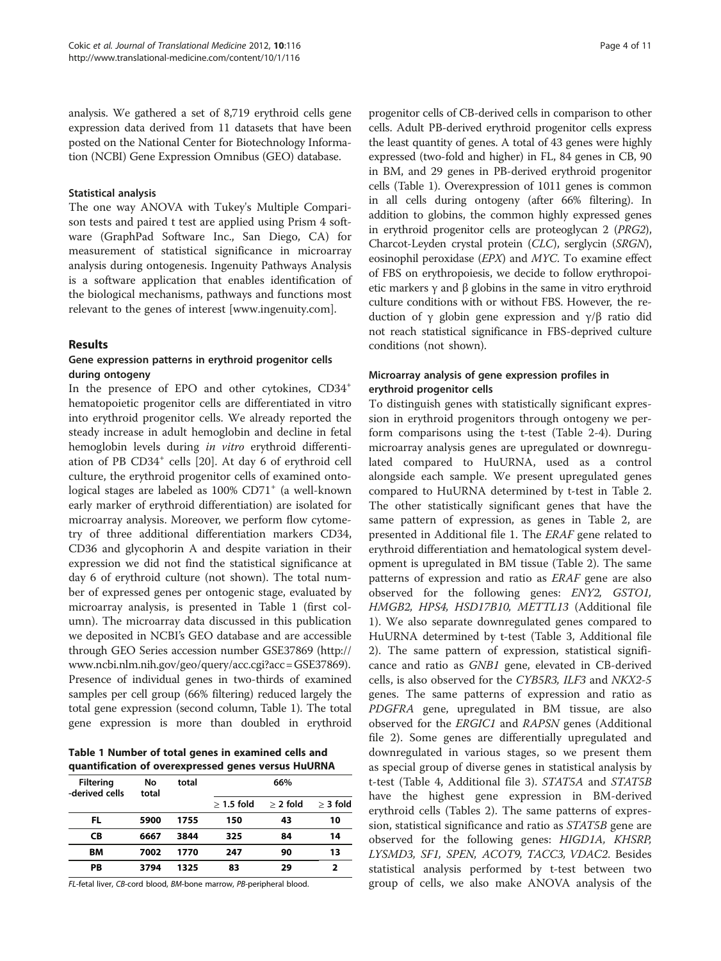analysis. We gathered a set of 8,719 erythroid cells gene expression data derived from 11 datasets that have been posted on the National Center for Biotechnology Information (NCBI) Gene Expression Omnibus (GEO) database.

#### Statistical analysis

The one way ANOVA with Tukey's Multiple Comparison tests and paired t test are applied using Prism 4 software (GraphPad Software Inc., San Diego, CA) for measurement of statistical significance in microarray analysis during ontogenesis. Ingenuity Pathways Analysis is a software application that enables identification of the biological mechanisms, pathways and functions most relevant to the genes of interest [[www.ingenuity.com\]](http://www.ingenuity.com).

#### Results

## Gene expression patterns in erythroid progenitor cells during ontogeny

In the presence of EPO and other cytokines, CD34<sup>+</sup> hematopoietic progenitor cells are differentiated in vitro into erythroid progenitor cells. We already reported the steady increase in adult hemoglobin and decline in fetal hemoglobin levels during in vitro erythroid differenti-ation of PB CD34<sup>+</sup> cells [\[20](#page-10-0)]. At day 6 of erythroid cell culture, the erythroid progenitor cells of examined ontological stages are labeled as 100% CD71<sup>+</sup> (a well-known early marker of erythroid differentiation) are isolated for microarray analysis. Moreover, we perform flow cytometry of three additional differentiation markers CD34, CD36 and glycophorin A and despite variation in their expression we did not find the statistical significance at day 6 of erythroid culture (not shown). The total number of expressed genes per ontogenic stage, evaluated by microarray analysis, is presented in Table 1 (first column). The microarray data discussed in this publication we deposited in NCBI's GEO database and are accessible through GEO Series accession number GSE37869 ([http://](http://www.ncbi.nlm.nih.gov/geo/query/acc.cgi?acc=GSE37869) [www.ncbi.nlm.nih.gov/geo/query/acc.cgi?acc=GSE37869](http://www.ncbi.nlm.nih.gov/geo/query/acc.cgi?acc=GSE37869)). Presence of individual genes in two-thirds of examined samples per cell group (66% filtering) reduced largely the total gene expression (second column, Table 1). The total gene expression is more than doubled in erythroid

Table 1 Number of total genes in examined cells and quantification of overexpressed genes versus HuURNA

| <b>Filtering</b><br>-derived cells | No<br>total | total | 66%          |            |            |  |  |
|------------------------------------|-------------|-------|--------------|------------|------------|--|--|
|                                    |             |       | $>$ 1.5 fold | $>$ 2 fold | $>$ 3 fold |  |  |
| FL                                 | 5900        | 1755  | 150          | 43         | 10         |  |  |
| СB                                 | 6667        | 3844  | 325          | 84         | 14         |  |  |
| BМ                                 | 7002        | 1770  | 247          | 90         | 13         |  |  |
| PB                                 | 3794        | 1325  | 83           | 29         | ,          |  |  |

FL-fetal liver, CB-cord blood, BM-bone marrow, PB-peripheral blood.

progenitor cells of CB-derived cells in comparison to other cells. Adult PB-derived erythroid progenitor cells express the least quantity of genes. A total of 43 genes were highly expressed (two-fold and higher) in FL, 84 genes in CB, 90 in BM, and 29 genes in PB-derived erythroid progenitor cells (Table 1). Overexpression of 1011 genes is common in all cells during ontogeny (after 66% filtering). In addition to globins, the common highly expressed genes in erythroid progenitor cells are proteoglycan 2 (PRG2), Charcot-Leyden crystal protein (CLC), serglycin (SRGN), eosinophil peroxidase (EPX) and MYC. To examine effect of FBS on erythropoiesis, we decide to follow erythropoietic markers γ and β globins in the same in vitro erythroid culture conditions with or without FBS. However, the reduction of γ globin gene expression and γ/β ratio did not reach statistical significance in FBS-deprived culture conditions (not shown).

### Microarray analysis of gene expression profiles in erythroid progenitor cells

To distinguish genes with statistically significant expression in erythroid progenitors through ontogeny we perform comparisons using the t-test (Table [2](#page-4-0)-[4\)](#page-6-0). During microarray analysis genes are upregulated or downregulated compared to HuURNA, used as a control alongside each sample. We present upregulated genes compared to HuURNA determined by t-test in Table [2](#page-4-0). The other statistically significant genes that have the same pattern of expression, as genes in Table [2](#page-4-0), are presented in Additional file [1.](#page-9-0) The ERAF gene related to erythroid differentiation and hematological system development is upregulated in BM tissue (Table [2\)](#page-4-0). The same patterns of expression and ratio as ERAF gene are also observed for the following genes: ENY2, GSTO1, HMGB2, HPS4, HSD17B10, METTL13 (Additional file [1\)](#page-9-0). We also separate downregulated genes compared to HuURNA determined by t-test (Table [3,](#page-5-0) Additional file [2\)](#page-9-0). The same pattern of expression, statistical significance and ratio as GNB1 gene, elevated in CB-derived cells, is also observed for the CYB5R3, ILF3 and NKX2-5 genes. The same patterns of expression and ratio as PDGFRA gene, upregulated in BM tissue, are also observed for the ERGIC1 and RAPSN genes (Additional file [2\)](#page-9-0). Some genes are differentially upregulated and downregulated in various stages, so we present them as special group of diverse genes in statistical analysis by t-test (Table [4](#page-6-0), Additional file [3\)](#page-9-0). STAT5A and STAT5B have the highest gene expression in BM-derived erythroid cells (Tables [2\)](#page-4-0). The same patterns of expression, statistical significance and ratio as STAT5B gene are observed for the following genes: HIGD1A, KHSRP, LYSMD3, SF1, SPEN, ACOT9, TACC3, VDAC2. Besides statistical analysis performed by t-test between two group of cells, we also make ANOVA analysis of the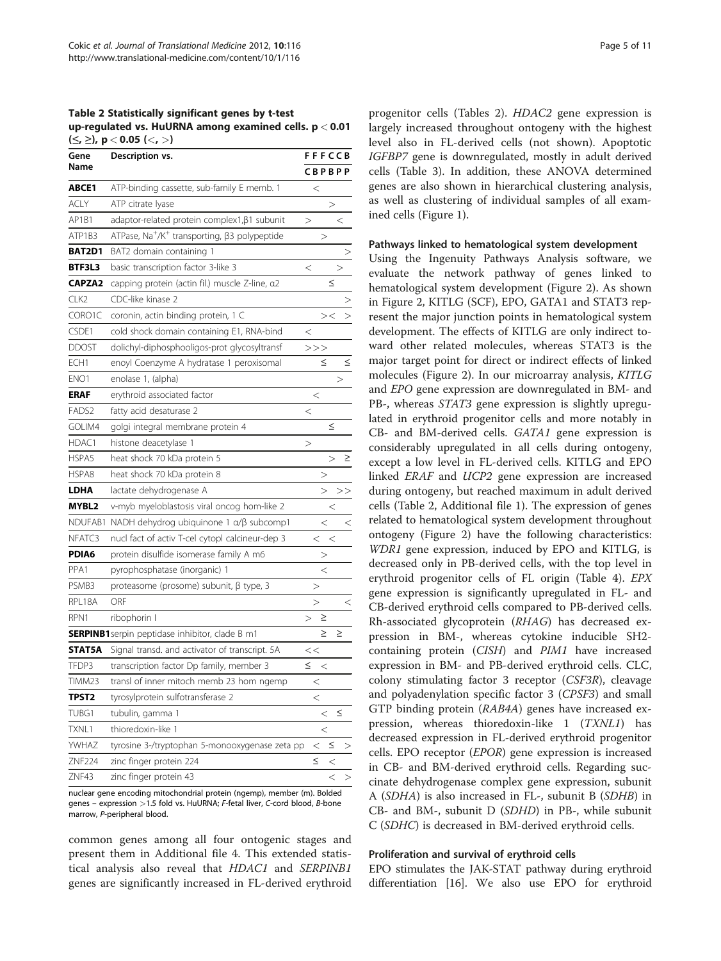<span id="page-4-0"></span>Table 2 Statistically significant genes by t-test up-regulated vs. HuURNA among examined cells. p < 0.01  $(S, ≥)$ , p < 0.05  $(S, >)$ 

| Gene              | Description vs.                                                      |        | <b>FFFCCB</b> |               |       |  |  |  |
|-------------------|----------------------------------------------------------------------|--------|---------------|---------------|-------|--|--|--|
| Name              |                                                                      |        |               | <b>CBPBPP</b> |       |  |  |  |
| ABCE1             | ATP-binding cassette, sub-family E memb. 1                           |        | $\,<$         |               |       |  |  |  |
| ACLY              | ATP citrate lyase                                                    |        |               | >             |       |  |  |  |
| AP1B1             | adaptor-related protein complex1, β1 subunit                         | >      |               |               | $\,<$ |  |  |  |
| ATP1B3            | ATPase, Na <sup>+</sup> /K <sup>+</sup> transporting, β3 polypeptide |        | >             |               |       |  |  |  |
| BAT2D1            | BAT2 domain containing 1                                             |        |               |               |       |  |  |  |
| BTF3L3            | basic transcription factor 3-like 3                                  | $\,<$  |               |               | >     |  |  |  |
| <b>CAPZA2</b>     | capping protein (actin fil.) muscle Z-line, a2                       |        |               | ≤             |       |  |  |  |
| CLK2              | CDC-like kinase 2                                                    |        |               |               |       |  |  |  |
| CORO1C            | coronin, actin binding protein, 1 C                                  |        |               | $>\,<$        |       |  |  |  |
| CSDE1             | cold shock domain containing E1, RNA-bind                            | $\,<$  |               |               |       |  |  |  |
| <b>DDOST</b>      | dolichyl-diphosphooligos-prot glycosyltransf                         |        | >>            |               |       |  |  |  |
| ECH <sub>1</sub>  | enoyl Coenzyme A hydratase 1 peroxisomal                             |        | ≤             |               | ≤     |  |  |  |
| ENO <sub>1</sub>  | enolase 1, (alpha)                                                   |        |               |               | >     |  |  |  |
| ERAF              | erythroid associated factor                                          |        | $\,<$         |               |       |  |  |  |
| FADS <sub>2</sub> | fatty acid desaturase 2                                              | $\,<$  |               |               |       |  |  |  |
| GOLIM4            | golgi integral membrane protein 4                                    |        |               | ≤             |       |  |  |  |
| HDAC1             | histone deacetylase 1                                                | >      |               |               |       |  |  |  |
| HSPA5             | heat shock 70 kDa protein 5                                          |        |               | >             | ≥     |  |  |  |
| HSPA8             | heat shock 70 kDa protein 8                                          |        | >             |               |       |  |  |  |
| LDHA              | lactate dehydrogenase A                                              |        | $\rm{>}$      |               | >>    |  |  |  |
| MYBL2             | v-myb myeloblastosis viral oncog hom-like 2                          |        |               | $\,<$         |       |  |  |  |
| NDUFAB1           | NADH dehydrog ubiquinone 1 α/β subcomp1                              |        | $\,<$         |               | $\,<$ |  |  |  |
| NFATC3            | nucl fact of activ T-cel cytopl calcineur-dep 3                      |        | $\,<$         | $\,<$         |       |  |  |  |
| PDIA6             | protein disulfide isomerase family A m6                              |        | >             |               |       |  |  |  |
| PPA1              | pyrophosphatase (inorganic) 1                                        |        | $\,<$         |               |       |  |  |  |
| PSMB3             | proteasome (prosome) subunit, $\beta$ type, 3                        |        | >             |               |       |  |  |  |
| RPL18A            | ORF                                                                  |        | $\geq$        |               | $\,<$ |  |  |  |
| RPN1              | ribophorin I                                                         | >      | ≥             |               |       |  |  |  |
|                   | <b>SERPINB1</b> serpin peptidase inhibitor, clade B m1               |        | ≥             |               | ≥     |  |  |  |
| <b>STAT5A</b>     | Signal transd. and activator of transcript. 5A                       | <<     |               |               |       |  |  |  |
| TFDP3             | transcription factor Dp family, member 3                             | $\leq$ | $\,<$         |               |       |  |  |  |
| TIMM23            | transl of inner mitoch memb 23 hom ngemp                             |        | $\,<$         |               |       |  |  |  |
| TPST2             | tyrosylprotein sulfotransferase 2                                    |        | $\,<$         |               |       |  |  |  |
| TUBG1             | tubulin, gamma 1                                                     |        | $\,<$         |               | ≤     |  |  |  |
| TXNL1             | thioredoxin-like 1                                                   |        | $\,<$         |               |       |  |  |  |
| YWHAZ             | tyrosine 3-/tryptophan 5-monooxygenase zeta pp                       |        | $\,<$         | $\leq$        | >     |  |  |  |
| ZNF224            | zinc finger protein 224                                              |        | $\leq$        | $\,<$         |       |  |  |  |
| ZNF43             | zinc finger protein 43                                               |        |               | $\,<$         | >     |  |  |  |

nuclear gene encoding mitochondrial protein (ngemp), member (m). Bolded genes – expression >1.5 fold vs. HuURNA; F-fetal liver, C-cord blood, B-bone marrow, P-peripheral blood.

common genes among all four ontogenic stages and present them in Additional file [4](#page-9-0). This extended statistical analysis also reveal that HDAC1 and SERPINB1 genes are significantly increased in FL-derived erythroid

progenitor cells (Tables 2). HDAC2 gene expression is largely increased throughout ontogeny with the highest level also in FL-derived cells (not shown). Apoptotic IGFBP7 gene is downregulated, mostly in adult derived cells (Table [3](#page-5-0)). In addition, these ANOVA determined genes are also shown in hierarchical clustering analysis, as well as clustering of individual samples of all examined cells (Figure [1](#page-7-0)).

#### Pathways linked to hematological system development

Using the Ingenuity Pathways Analysis software, we evaluate the network pathway of genes linked to hematological system development (Figure [2](#page-8-0)). As shown in Figure [2](#page-8-0), KITLG (SCF), EPO, GATA1 and STAT3 represent the major junction points in hematological system development. The effects of KITLG are only indirect toward other related molecules, whereas STAT3 is the major target point for direct or indirect effects of linked molecules (Figure [2](#page-8-0)). In our microarray analysis, KITLG and EPO gene expression are downregulated in BM- and PB-, whereas STAT3 gene expression is slightly upregulated in erythroid progenitor cells and more notably in CB- and BM-derived cells. GATA1 gene expression is considerably upregulated in all cells during ontogeny, except a low level in FL-derived cells. KITLG and EPO linked ERAF and UCP2 gene expression are increased during ontogeny, but reached maximum in adult derived cells (Table 2, Additional file [1\)](#page-9-0). The expression of genes related to hematological system development throughout ontogeny (Figure [2](#page-8-0)) have the following characteristics: WDR1 gene expression, induced by EPO and KITLG, is decreased only in PB-derived cells, with the top level in erythroid progenitor cells of FL origin (Table [4\)](#page-6-0). EPX gene expression is significantly upregulated in FL- and CB-derived erythroid cells compared to PB-derived cells. Rh-associated glycoprotein (RHAG) has decreased expression in BM-, whereas cytokine inducible SH2 containing protein (CISH) and PIM1 have increased expression in BM- and PB-derived erythroid cells. CLC, colony stimulating factor 3 receptor (CSF3R), cleavage and polyadenylation specific factor 3 (CPSF3) and small GTP binding protein (RAB4A) genes have increased expression, whereas thioredoxin-like 1 (TXNL1) has decreased expression in FL-derived erythroid progenitor cells. EPO receptor (EPOR) gene expression is increased in CB- and BM-derived erythroid cells. Regarding succinate dehydrogenase complex gene expression, subunit A (SDHA) is also increased in FL-, subunit B (SDHB) in CB- and BM-, subunit D (SDHD) in PB-, while subunit C (SDHC) is decreased in BM-derived erythroid cells.

#### Proliferation and survival of erythroid cells

EPO stimulates the JAK-STAT pathway during erythroid differentiation [\[16\]](#page-10-0). We also use EPO for erythroid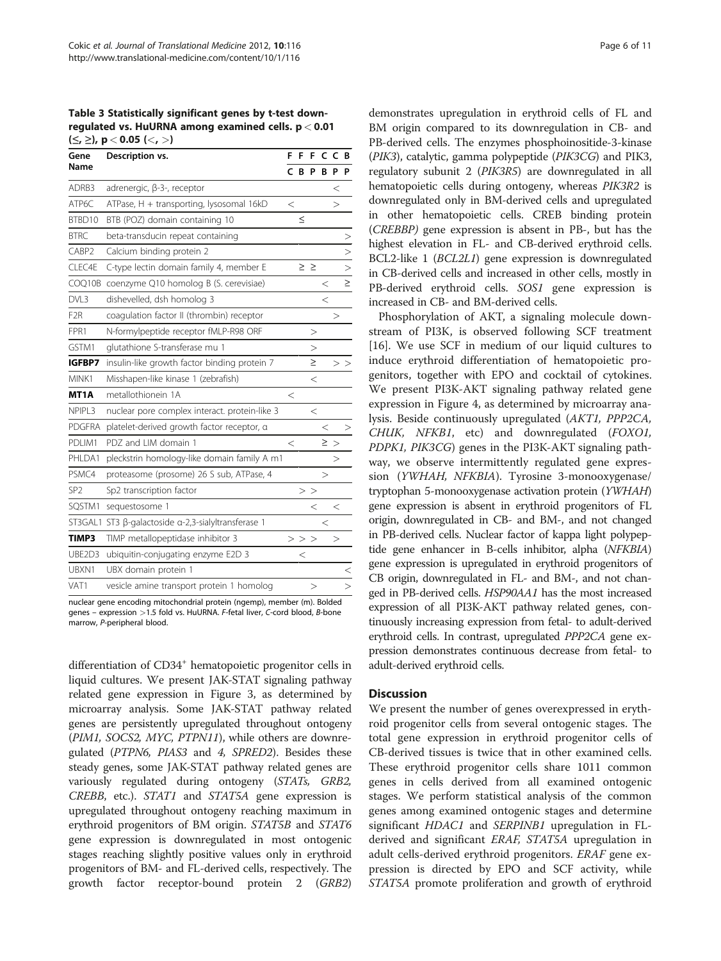<span id="page-5-0"></span>Table 3 Statistically significant genes by t-test downregulated vs. HuURNA among examined cells. p < 0.01  $(\le, \ge)$ , p < 0.05 (<, >)

| Gene            | Description vs.                                     |         | F           | F             |        | c c      | B       |
|-----------------|-----------------------------------------------------|---------|-------------|---------------|--------|----------|---------|
| Name            |                                                     | C.      | B           | <b>P</b>      | B      | P        | P       |
| ADRB3           | adrenergic, β-3-, receptor                          |         |             |               |        | $\,<$    |         |
| ATP6C           | ATPase, H + transporting, lysosomal 16kD            | $\,<$   |             |               |        | >        |         |
| BTBD10          | BTB (POZ) domain containing 10                      |         | $\leq$      |               |        |          |         |
| <b>BTRC</b>     | beta-transducin repeat containing                   |         |             |               |        |          | >       |
| CABP2           | Calcium binding protein 2                           |         |             |               |        |          | >       |
| CLEC4E          | C-type lectin domain family 4, member E             |         |             | $\geq$ $\geq$ |        |          | $\geq$  |
| COQ10B          | coenzyme Q10 homolog B (S. cerevisiae)              |         |             |               | $\,<$  |          | $\geq$  |
| DVL3            | dishevelled, dsh homolog 3                          |         |             |               | $\,<$  |          |         |
| F <sub>2R</sub> | coaqulation factor II (thrombin) receptor           |         |             |               |        | >        |         |
| FPR1            | N-formylpeptide receptor fMLP-R98 ORF               |         |             | >             |        |          |         |
| GSTM1           | glutathione S-transferase mu 1                      |         |             | >             |        |          |         |
| IGFBP7          | insulin-like growth factor binding protein 7        |         |             | $\geq$        |        |          | $>$ $>$ |
| MINK1           | Misshapen-like kinase 1 (zebrafish)                 |         |             | $\,<$         |        |          |         |
| MT1A            | metallothionein 1A                                  | $\,<$   |             |               |        |          |         |
| NPIPL3          | nuclear pore complex interact. protein-like 3       |         |             | $\,<$         |        |          |         |
| PDGFRA          | platelet-derived growth factor receptor, a          |         |             |               | $\,<$  |          |         |
| PDI IM1         | PDZ and LIM domain 1                                | $\,<\,$ |             |               | $\geq$ | $\rm{>}$ |         |
| PHLDA1          | pleckstrin homology-like domain family A m1         |         |             |               |        | >        |         |
| PSMC4           | proteasome (prosome) 26 S sub, ATPase, 4            |         |             |               | >      |          |         |
| SP <sub>2</sub> | Sp2 transcription factor                            |         | >           | $\rm{>}$      |        |          |         |
| SQSTM1          | sequestosome 1                                      |         |             | $\,<$         |        | $\,<$    |         |
|                 | ST3GAL1 ST3 β-galactoside α-2,3-sialyltransferase 1 |         |             |               | $\,<$  |          |         |
| TIMP3           | TIMP metallopeptidase inhibitor 3                   |         | $>$ $>$ $>$ |               |        | $\rm{>}$ |         |
| UBE2D3          | ubiquitin-conjugating enzyme E2D 3                  |         | $\,<$       |               |        |          |         |
| UBXN1           | UBX domain protein 1                                |         |             |               |        |          | $\,<$   |
| VAT1            | vesicle amine transport protein 1 homolog           |         |             | >             |        |          | >       |

nuclear gene encoding mitochondrial protein (ngemp), member (m). Bolded genes – expression >1.5 fold vs. HuURNA. F-fetal liver, C-cord blood, B-bone marrow, P-peripheral blood.

differentiation of CD34<sup>+</sup> hematopoietic progenitor cells in liquid cultures. We present JAK-STAT signaling pathway related gene expression in Figure [3](#page-8-0), as determined by microarray analysis. Some JAK-STAT pathway related genes are persistently upregulated throughout ontogeny (PIM1, SOCS2, MYC, PTPN11), while others are downregulated (PTPN6, PIAS3 and 4, SPRED2). Besides these steady genes, some JAK-STAT pathway related genes are variously regulated during ontogeny (STATs, GRB2, CREBB, etc.). STAT1 and STAT5A gene expression is upregulated throughout ontogeny reaching maximum in erythroid progenitors of BM origin. STAT5B and STAT6 gene expression is downregulated in most ontogenic stages reaching slightly positive values only in erythroid progenitors of BM- and FL-derived cells, respectively. The growth factor receptor-bound protein 2 (GRB2)

demonstrates upregulation in erythroid cells of FL and BM origin compared to its downregulation in CB- and PB-derived cells. The enzymes phosphoinositide-3-kinase (PIK3), catalytic, gamma polypeptide (PIK3CG) and PIK3, regulatory subunit 2 (PIK3R5) are downregulated in all hematopoietic cells during ontogeny, whereas PIK3R2 is downregulated only in BM-derived cells and upregulated in other hematopoietic cells. CREB binding protein (CREBBP) gene expression is absent in PB-, but has the highest elevation in FL- and CB-derived erythroid cells. BCL2-like 1 (BCL2L1) gene expression is downregulated in CB-derived cells and increased in other cells, mostly in PB-derived erythroid cells. SOS1 gene expression is increased in CB- and BM-derived cells.

Phosphorylation of AKT, a signaling molecule downstream of PI3K, is observed following SCF treatment [[16\]](#page-10-0). We use SCF in medium of our liquid cultures to induce erythroid differentiation of hematopoietic progenitors, together with EPO and cocktail of cytokines. We present PI3K-AKT signaling pathway related gene expression in Figure [4](#page-9-0), as determined by microarray analysis. Beside continuously upregulated (AKT1, PPP2CA, CHUK, NFKB1, etc) and downregulated (FOXO1, PDPK1, PIK3CG) genes in the PI3K-AKT signaling pathway, we observe intermittently regulated gene expression (YWHAH, NFKBIA). Tyrosine 3-monooxygenase/ tryptophan 5-monooxygenase activation protein (YWHAH) gene expression is absent in erythroid progenitors of FL origin, downregulated in CB- and BM-, and not changed in PB-derived cells. Nuclear factor of kappa light polypeptide gene enhancer in B-cells inhibitor, alpha (NFKBIA) gene expression is upregulated in erythroid progenitors of CB origin, downregulated in FL- and BM-, and not changed in PB-derived cells. HSP90AA1 has the most increased expression of all PI3K-AKT pathway related genes, continuously increasing expression from fetal- to adult-derived erythroid cells. In contrast, upregulated PPP2CA gene expression demonstrates continuous decrease from fetal- to adult-derived erythroid cells.

### **Discussion**

We present the number of genes overexpressed in erythroid progenitor cells from several ontogenic stages. The total gene expression in erythroid progenitor cells of CB-derived tissues is twice that in other examined cells. These erythroid progenitor cells share 1011 common genes in cells derived from all examined ontogenic stages. We perform statistical analysis of the common genes among examined ontogenic stages and determine significant *HDAC1* and *SERPINB1* upregulation in FLderived and significant ERAF, STAT5A upregulation in adult cells-derived erythroid progenitors. ERAF gene expression is directed by EPO and SCF activity, while STAT5A promote proliferation and growth of erythroid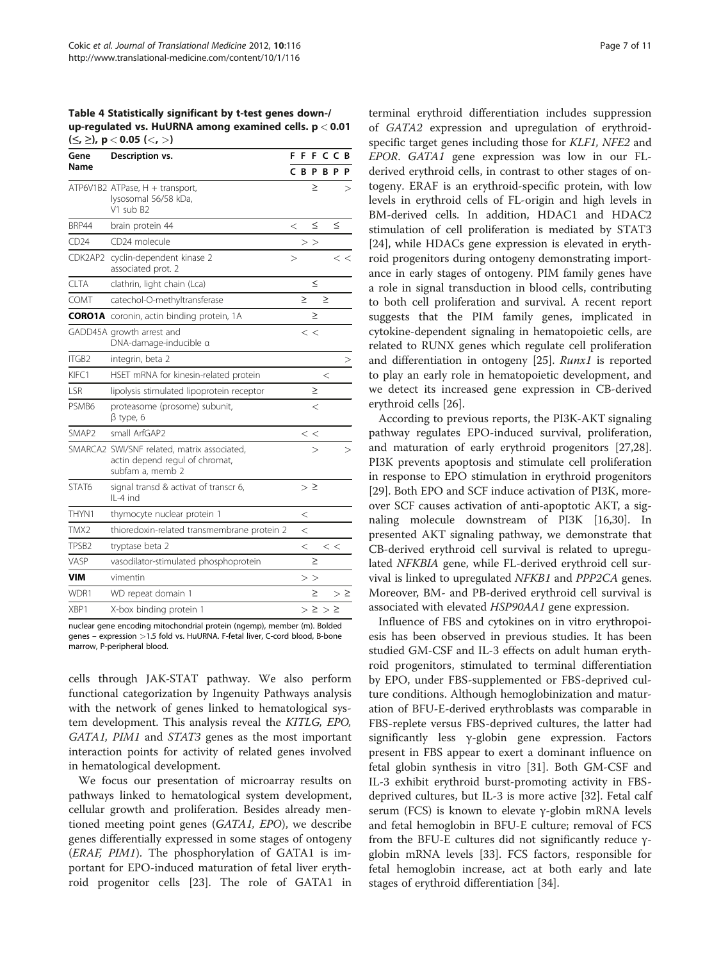<span id="page-6-0"></span>Table 4 Statistically significant by t-test genes down-/ up-regulated vs. HuURNA among examined cells. p < 0.01  $(\le, \ge)$ , p < 0.05 (<, >)

| Gene              | Description vs.                                                                                   |          |        |          | FFFCCB           |         |          |
|-------------------|---------------------------------------------------------------------------------------------------|----------|--------|----------|------------------|---------|----------|
| Name              |                                                                                                   |          |        |          | <b>CBPBPP</b>    |         |          |
|                   | ATP6V1B2 ATPase, H + transport,<br>lysosomal 56/58 kDa,<br>V1 sub B2                              |          |        | ≥        |                  |         | >        |
| BRP44             | brain protein 44                                                                                  | $\,<$    |        | $\leq$   |                  | $\leq$  |          |
| CD24              | CD24 molecule                                                                                     |          | >      | $\rm{>}$ |                  |         |          |
| CDK2AP2           | cyclin-dependent kinase 2<br>associated prot. 2                                                   | $\rm{>}$ |        |          |                  |         | $<$ $<$  |
| <b>CLTA</b>       | clathrin, light chain (Lca)                                                                       |          |        | ≤        |                  |         |          |
| COMT              | catechol-O-methyltransferase                                                                      |          | $\geq$ |          | $\geq$           |         |          |
|                   | <b>CORO1A</b> coronin, actin binding protein, 1A                                                  |          |        | ≥        |                  |         |          |
|                   | GADD45A growth arrest and<br>DNA-damage-inducible a                                               |          |        | $\,<\,$  |                  |         |          |
| ITGB2             | integrin, beta 2                                                                                  |          |        |          |                  |         | >        |
| KIFC1             | HSET mRNA for kinesin-related protein                                                             |          |        |          | $\,<$            |         |          |
| LSR               | lipolysis stimulated lipoprotein receptor                                                         |          |        | ≥        |                  |         |          |
| PSMB6             | proteasome (prosome) subunit,<br>$\beta$ type, 6                                                  |          |        | $\,<$    |                  |         |          |
| SMAP <sub>2</sub> | small ArfGAP2                                                                                     |          |        | $<$ $<$  |                  |         |          |
|                   | SMARCA2 SWI/SNF related, matrix associated,<br>actin depend regul of chromat,<br>subfam a, memb 2 |          |        | >        |                  |         | >        |
| STAT6             | signal transd & activat of transcr 6,<br>IL-4 ind                                                 |          |        | $> \geq$ |                  |         |          |
| THYN1             | thymocyte nuclear protein 1                                                                       |          | $\,<$  |          |                  |         |          |
| TMX2              | thioredoxin-related transmembrane protein 2                                                       |          | $\,<$  |          |                  |         |          |
| TPSB <sub>2</sub> | tryptase beta 2                                                                                   |          | $\,<$  |          |                  | $<$ $<$ |          |
| VASP              | vasodilator-stimulated phosphoprotein                                                             |          |        | $\geq$   |                  |         |          |
| <b>VIM</b>        | vimentin                                                                                          |          | >      | >        |                  |         |          |
| WDR1              | WD repeat domain 1                                                                                |          |        | $\geq$   |                  |         | $> \geq$ |
| XBP1              | X-box binding protein 1                                                                           |          |        |          | $>\ge$ $>$ $\ge$ |         |          |

nuclear gene encoding mitochondrial protein (ngemp), member (m). Bolded genes – expression >1.5 fold vs. HuURNA. F-fetal liver, C-cord blood, B-bone marrow, P-peripheral blood.

cells through JAK-STAT pathway. We also perform functional categorization by Ingenuity Pathways analysis with the network of genes linked to hematological system development. This analysis reveal the KITLG, EPO, GATA1, PIM1 and STAT3 genes as the most important interaction points for activity of related genes involved in hematological development.

We focus our presentation of microarray results on pathways linked to hematological system development, cellular growth and proliferation. Besides already mentioned meeting point genes (GATA1, EPO), we describe genes differentially expressed in some stages of ontogeny (ERAF, PIM1). The phosphorylation of GATA1 is important for EPO-induced maturation of fetal liver erythroid progenitor cells [\[23](#page-10-0)]. The role of GATA1 in

terminal erythroid differentiation includes suppression of GATA2 expression and upregulation of erythroidspecific target genes including those for KLF1, NFE2 and EPOR. GATA1 gene expression was low in our FLderived erythroid cells, in contrast to other stages of ontogeny. ERAF is an erythroid-specific protein, with low levels in erythroid cells of FL-origin and high levels in BM-derived cells. In addition, HDAC1 and HDAC2 stimulation of cell proliferation is mediated by STAT3 [[24\]](#page-10-0), while HDACs gene expression is elevated in erythroid progenitors during ontogeny demonstrating importance in early stages of ontogeny. PIM family genes have a role in signal transduction in blood cells, contributing to both cell proliferation and survival. A recent report suggests that the PIM family genes, implicated in cytokine-dependent signaling in hematopoietic cells, are related to RUNX genes which regulate cell proliferation and differentiation in ontogeny [\[25](#page-10-0)]. Runx1 is reported to play an early role in hematopoietic development, and we detect its increased gene expression in CB-derived erythroid cells [\[26\]](#page-10-0).

According to previous reports, the PI3K-AKT signaling pathway regulates EPO-induced survival, proliferation, and maturation of early erythroid progenitors [\[27,28](#page-10-0)]. PI3K prevents apoptosis and stimulate cell proliferation in response to EPO stimulation in erythroid progenitors [[29\]](#page-10-0). Both EPO and SCF induce activation of PI3K, moreover SCF causes activation of anti-apoptotic AKT, a signaling molecule downstream of PI3K [[16,30\]](#page-10-0). In presented AKT signaling pathway, we demonstrate that CB-derived erythroid cell survival is related to upregulated NFKBIA gene, while FL-derived erythroid cell survival is linked to upregulated NFKB1 and PPP2CA genes. Moreover, BM- and PB-derived erythroid cell survival is associated with elevated HSP90AA1 gene expression.

Influence of FBS and cytokines on in vitro erythropoiesis has been observed in previous studies. It has been studied GM-CSF and IL-3 effects on adult human erythroid progenitors, stimulated to terminal differentiation by EPO, under FBS-supplemented or FBS-deprived culture conditions. Although hemoglobinization and maturation of BFU-E-derived erythroblasts was comparable in FBS-replete versus FBS-deprived cultures, the latter had significantly less γ-globin gene expression. Factors present in FBS appear to exert a dominant influence on fetal globin synthesis in vitro [\[31](#page-10-0)]. Both GM-CSF and IL-3 exhibit erythroid burst-promoting activity in FBSdeprived cultures, but IL-3 is more active [\[32\]](#page-10-0). Fetal calf serum (FCS) is known to elevate γ-globin mRNA levels and fetal hemoglobin in BFU-E culture; removal of FCS from the BFU-E cultures did not significantly reduce γglobin mRNA levels [\[33](#page-10-0)]. FCS factors, responsible for fetal hemoglobin increase, act at both early and late stages of erythroid differentiation [\[34](#page-10-0)].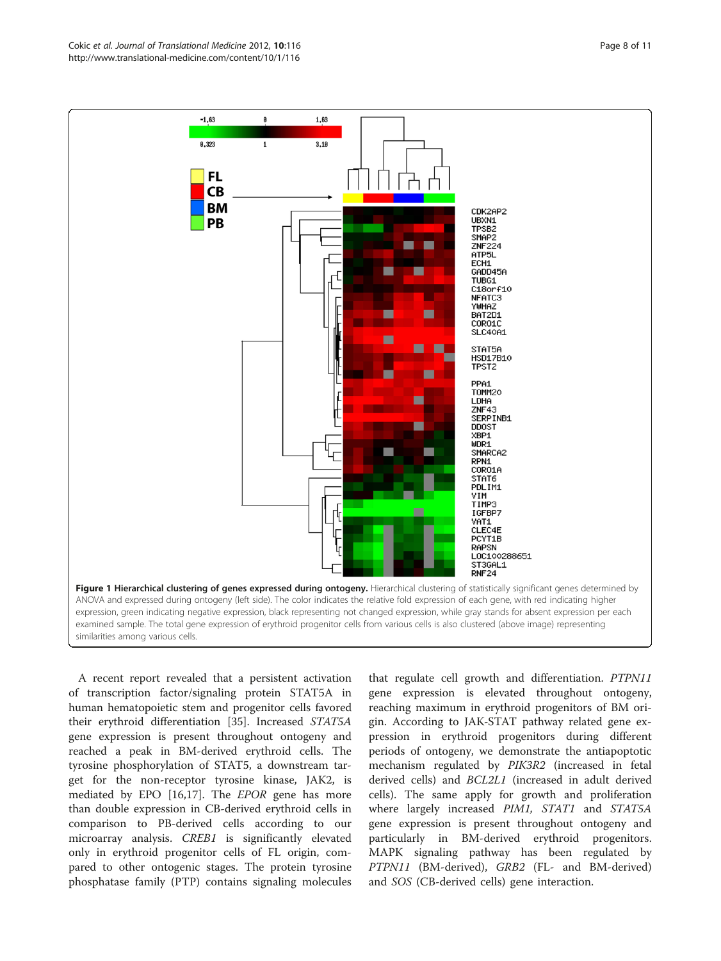<span id="page-7-0"></span>

A recent report revealed that a persistent activation of transcription factor/signaling protein STAT5A in human hematopoietic stem and progenitor cells favored their erythroid differentiation [\[35\]](#page-10-0). Increased STAT5A gene expression is present throughout ontogeny and reached a peak in BM-derived erythroid cells. The tyrosine phosphorylation of STAT5, a downstream target for the non-receptor tyrosine kinase, JAK2, is mediated by EPO [[16,17\]](#page-10-0). The EPOR gene has more than double expression in CB-derived erythroid cells in comparison to PB-derived cells according to our microarray analysis. CREB1 is significantly elevated only in erythroid progenitor cells of FL origin, compared to other ontogenic stages. The protein tyrosine phosphatase family (PTP) contains signaling molecules

that regulate cell growth and differentiation. PTPN11 gene expression is elevated throughout ontogeny, reaching maximum in erythroid progenitors of BM origin. According to JAK-STAT pathway related gene expression in erythroid progenitors during different periods of ontogeny, we demonstrate the antiapoptotic mechanism regulated by PIK3R2 (increased in fetal derived cells) and BCL2L1 (increased in adult derived cells). The same apply for growth and proliferation where largely increased PIM1, STAT1 and STAT5A gene expression is present throughout ontogeny and particularly in BM-derived erythroid progenitors. MAPK signaling pathway has been regulated by PTPN11 (BM-derived), GRB2 (FL- and BM-derived) and SOS (CB-derived cells) gene interaction.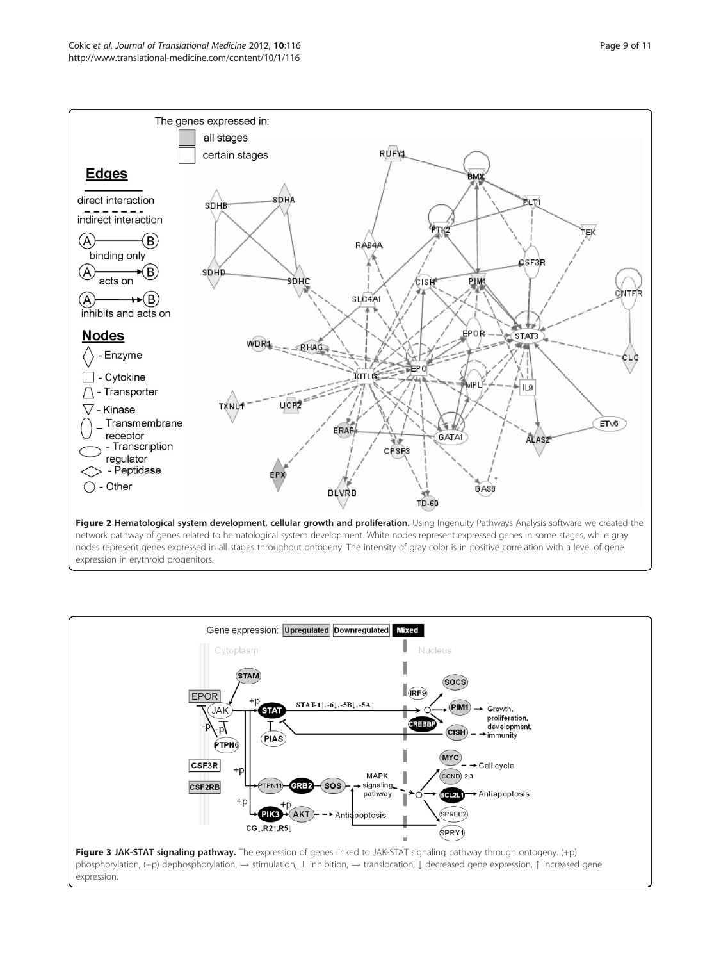<span id="page-8-0"></span>

nodes represent genes expressed in all stages throughout ontogeny. The intensity of gray color is in positive correlation with a level of gene expression in erythroid progenitors.

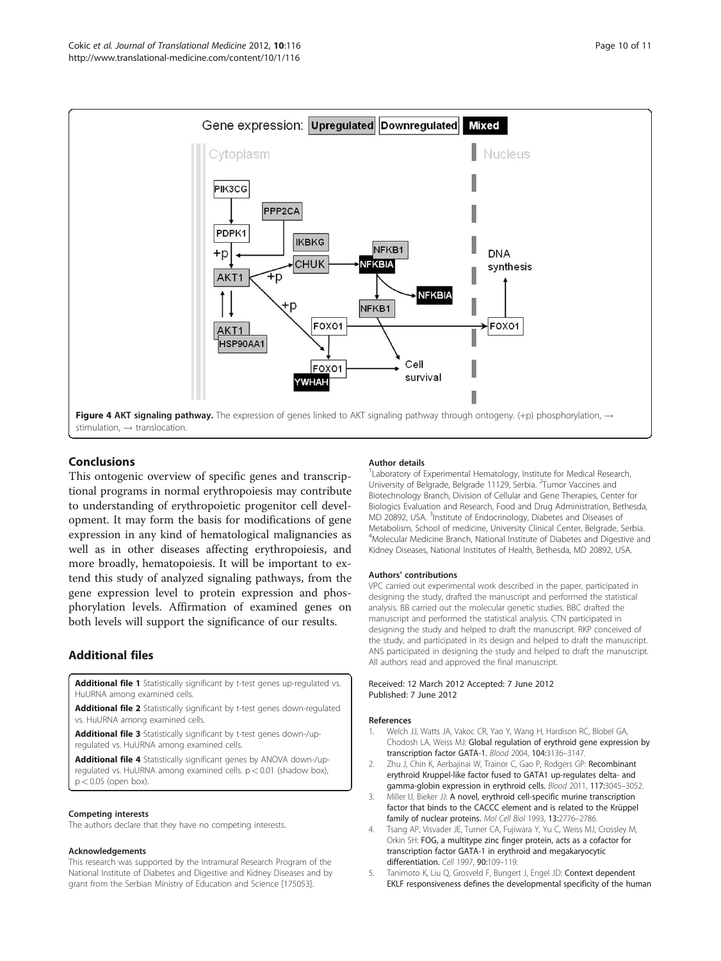<span id="page-9-0"></span>

### Conclusions

This ontogenic overview of specific genes and transcriptional programs in normal erythropoiesis may contribute to understanding of erythropoietic progenitor cell development. It may form the basis for modifications of gene expression in any kind of hematological malignancies as well as in other diseases affecting erythropoiesis, and more broadly, hematopoiesis. It will be important to extend this study of analyzed signaling pathways, from the gene expression level to protein expression and phosphorylation levels. Affirmation of examined genes on both levels will support the significance of our results.

# Additional files

[Additional file 1](http://www.biomedcentral.com/content/supplementary/1479-5876-10-116-S1.doc) Statistically significant by t-test genes up-regulated vs. HuURNA among examined cells.

[Additional file 2](http://www.biomedcentral.com/content/supplementary/1479-5876-10-116-S2.doc) Statistically significant by t-test genes down-regulated vs. HuURNA among examined cells.

[Additional file 3](http://www.biomedcentral.com/content/supplementary/1479-5876-10-116-S3.doc) Statistically significant by t-test genes down-/upregulated vs. HuURNA among examined cells.

[Additional file 4](http://www.biomedcentral.com/content/supplementary/1479-5876-10-116-S4.doc) Statistically significant genes by ANOVA down-/upregulated vs. HuURNA among examined cells. p < 0.01 (shadow box),  $p < 0.05$  (open box).

#### Competing interests

The authors declare that they have no competing interests.

#### Acknowledgements

This research was supported by the Intramural Research Program of the National Institute of Diabetes and Digestive and Kidney Diseases and by grant from the Serbian Ministry of Education and Science [175053].

#### Author details

<sup>1</sup> Laboratory of Experimental Hematology, Institute for Medical Research, University of Belgrade, Belgrade 11129, Serbia. <sup>2</sup>Tumor Vaccines and Biotechnology Branch, Division of Cellular and Gene Therapies, Center for Biologics Evaluation and Research, Food and Drug Administration, Bethesda, MD 20892, USA. <sup>3</sup>Institute of Endocrinology, Diabetes and Diseases of Metabolism, School of medicine, University Clinical Center, Belgrade, Serbia. 4 Molecular Medicine Branch, National Institute of Diabetes and Digestive and Kidney Diseases, National Institutes of Health, Bethesda, MD 20892, USA.

#### Authors' contributions

VPC carried out experimental work described in the paper, participated in designing the study, drafted the manuscript and performed the statistical analysis. BB carried out the molecular genetic studies. BBC drafted the manuscript and performed the statistical analysis. CTN participated in designing the study and helped to draft the manuscript. RKP conceived of the study, and participated in its design and helped to draft the manuscript. ANS participated in designing the study and helped to draft the manuscript. All authors read and approved the final manuscript.

Received: 12 March 2012 Accepted: 7 June 2012 Published: 7 June 2012

#### References

- 1. Welch JJ, Watts JA, Vakoc CR, Yao Y, Wang H, Hardison RC, Blobel GA, Chodosh LA, Weiss MJ: Global regulation of erythroid gene expression by transcription factor GATA-1. Blood 2004, 104:3136–3147.
- 2. Zhu J, Chin K, Aerbajinai W, Trainor C, Gao P, Rodgers GP: Recombinant erythroid Kruppel-like factor fused to GATA1 up-regulates delta- and gamma-globin expression in erythroid cells. Blood 2011, 117:3045–3052.
- 3. Miller IJ, Bieker JJ: A novel, erythroid cell-specific murine transcription factor that binds to the CACCC element and is related to the Krüppel family of nuclear proteins. Mol Cell Biol 1993, 13:2776–2786.
- 4. Tsang AP, Visvader JE, Turner CA, Fujiwara Y, Yu C, Weiss MJ, Crossley M, Orkin SH: FOG, a multitype zinc finger protein, acts as a cofactor for transcription factor GATA-1 in erythroid and megakaryocytic differentiation. Cell 1997, 90:109–119.
- 5. Tanimoto K, Liu Q, Grosveld F, Bungert J, Engel JD: Context dependent EKLF responsiveness defines the developmental specificity of the human